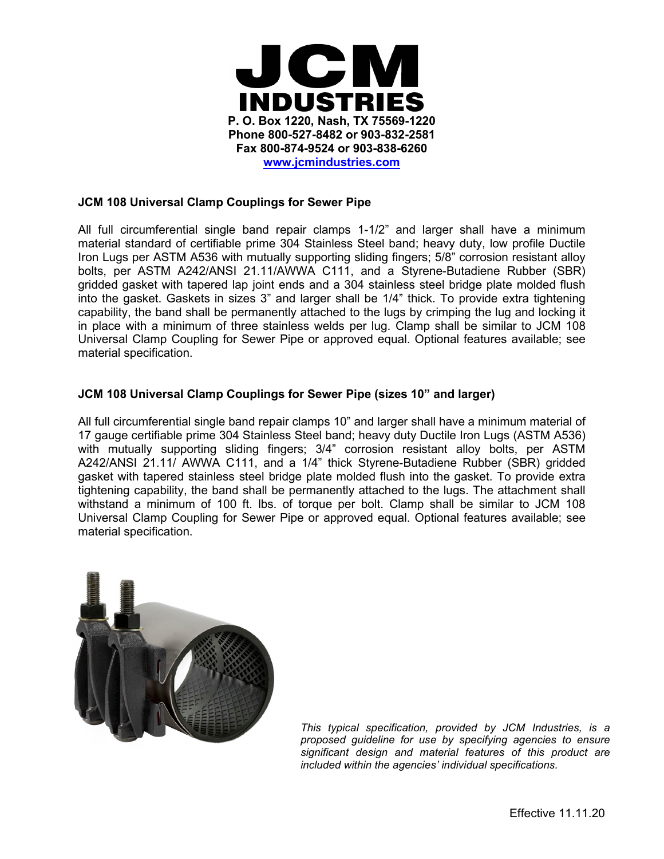

### **JCM 108 Universal Clamp Couplings for Sewer Pipe**

All full circumferential single band repair clamps 1-1/2" and larger shall have a minimum material standard of certifiable prime 304 Stainless Steel band; heavy duty, low profile Ductile Iron Lugs per ASTM A536 with mutually supporting sliding fingers; 5/8" corrosion resistant alloy bolts, per ASTM A242/ANSI 21.11/AWWA C111, and a Styrene-Butadiene Rubber (SBR) gridded gasket with tapered lap joint ends and a 304 stainless steel bridge plate molded flush into the gasket. Gaskets in sizes 3" and larger shall be 1/4" thick. To provide extra tightening capability, the band shall be permanently attached to the lugs by crimping the lug and locking it in place with a minimum of three stainless welds per lug. Clamp shall be similar to JCM 108 Universal Clamp Coupling for Sewer Pipe or approved equal. Optional features available; see material specification.

#### **JCM 108 Universal Clamp Couplings for Sewer Pipe (sizes 10" and larger)**

All full circumferential single band repair clamps 10" and larger shall have a minimum material of 17 gauge certifiable prime 304 Stainless Steel band; heavy duty Ductile Iron Lugs (ASTM A536) with mutually supporting sliding fingers; 3/4" corrosion resistant alloy bolts, per ASTM A242/ANSI 21.11/ AWWA C111, and a 1/4" thick Styrene-Butadiene Rubber (SBR) gridded gasket with tapered stainless steel bridge plate molded flush into the gasket. To provide extra tightening capability, the band shall be permanently attached to the lugs. The attachment shall withstand a minimum of 100 ft. lbs. of torque per bolt. Clamp shall be similar to JCM 108 Universal Clamp Coupling for Sewer Pipe or approved equal. Optional features available; see material specification.



*This typical specification, provided by JCM Industries, is a proposed guideline for use by specifying agencies to ensure significant design and material features of this product are included within the agencies' individual specifications.*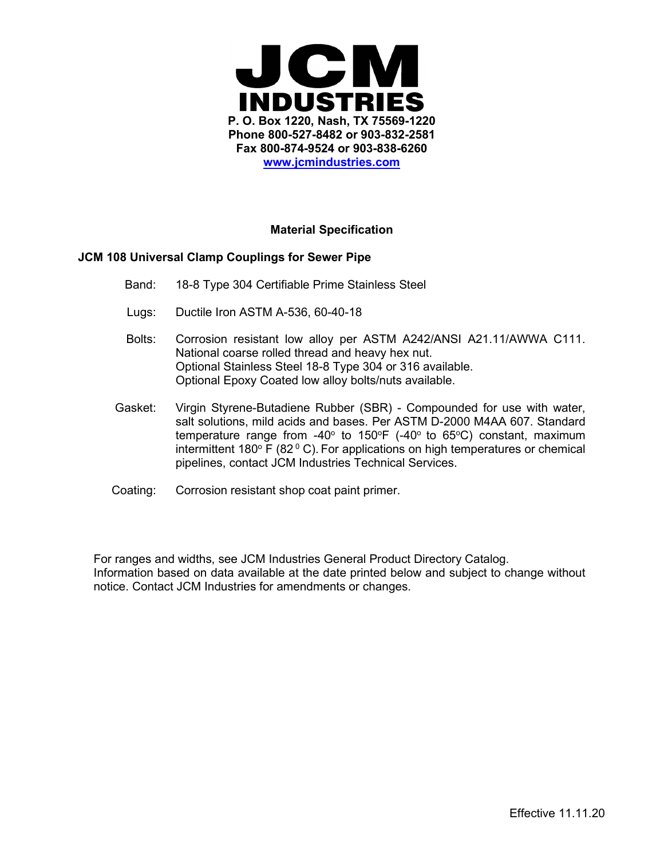

## **Material Specification**

#### **JCM 108 Universal Clamp Couplings for Sewer Pipe**

- Band: 18-8 Type 304 Certifiable Prime Stainless Steel
- Lugs: Ductile Iron ASTM A-536, 60-40-18
- Bolts: Corrosion resistant low alloy per ASTM A242/ANSI A21.11/AWWA C111. National coarse rolled thread and heavy hex nut. Optional Stainless Steel 18-8 Type 304 or 316 available. Optional Epoxy Coated low alloy bolts/nuts available.
- Gasket: Virgin Styrene-Butadiene Rubber (SBR) Compounded for use with water, salt solutions, mild acids and bases. Per ASTM D-2000 M4AA 607. Standard temperature range from -40 $^{\circ}$  to 150 $^{\circ}$ F (-40 $^{\circ}$  to 65 $^{\circ}$ C) constant, maximum intermittent 180 $\degree$  F (82 $\degree$  C). For applications on high temperatures or chemical pipelines, contact JCM Industries Technical Services.
- Coating: Corrosion resistant shop coat paint primer.

For ranges and widths, see JCM Industries General Product Directory Catalog. Information based on data available at the date printed below and subject to change without notice. Contact JCM Industries for amendments or changes.